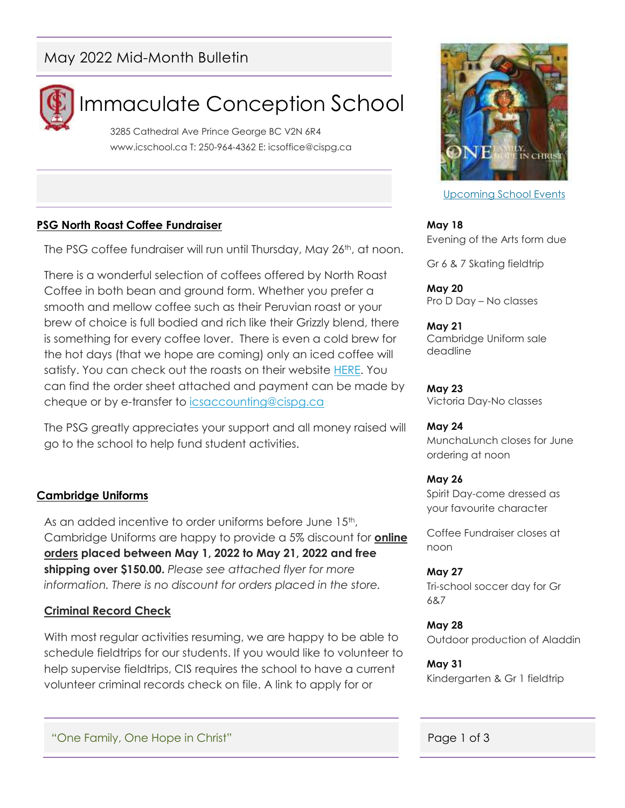# May 2022 Mid-Month Bulletin



# Immaculate Conception School

3285 Cathedral Ave Prince George BC V2N 6R4 www.icschool.ca T: 250-964-4362 E: icsoffice@cispg.ca

### **PSG North Roast Coffee Fundraiser**

The PSG coffee fundraiser will run until Thursday, May 26<sup>th</sup>, at noon.

There is a wonderful selection of coffees offered by North Roast Coffee in both bean and ground form. Whether you prefer a smooth and mellow coffee such as their Peruvian roast or your brew of choice is full bodied and rich like their Grizzly blend, there is something for every coffee lover. There is even a cold brew for the hot days (that we hope are coming) only an iced coffee will satisfy. You can check out the roasts on their website **HERE**. You can find the order sheet attached and payment can be made by cheque or by e-transfer to [icsaccounting@cispg.ca](mailto:icsaccounting@cispg.ca)

The PSG greatly appreciates your support and all money raised will go to the school to help fund student activities.

### **Cambridge Uniforms**

As an added incentive to order uniforms before June 15<sup>th</sup>, Cambridge Uniforms are happy to provide a 5% discount for **online orders placed between May 1, 2022 to May 21, 2022 and free shipping over \$150.00.** *Please see attached flyer for more information. There is no discount for orders placed in the store.*

### **Criminal Record Check**

With most regular activities resuming, we are happy to be able to schedule fieldtrips for our students. If you would like to volunteer to help supervise fieldtrips, CIS requires the school to have a current volunteer criminal records check on file. A link to apply for or

"One Family, One Hope in Christ" Page 1 of 3



Upcoming School Events

**May 18**

Evening of the Arts form due

Gr 6 & 7 Skating fieldtrip

**May 20** Pro D Day – No classes

### **May 21**

Cambridge Uniform sale deadline

**May 23** Victoria Day-No classes

### **May 24**

MunchaLunch closes for June ordering at noon

### **May 26**

Spirit Day-come dressed as your favourite character

Coffee Fundraiser closes at noon

### **May 27**

Tri-school soccer day for Gr 6&7

**May 28** Outdoor production of Aladdin

**May 31** Kindergarten & Gr 1 fieldtrip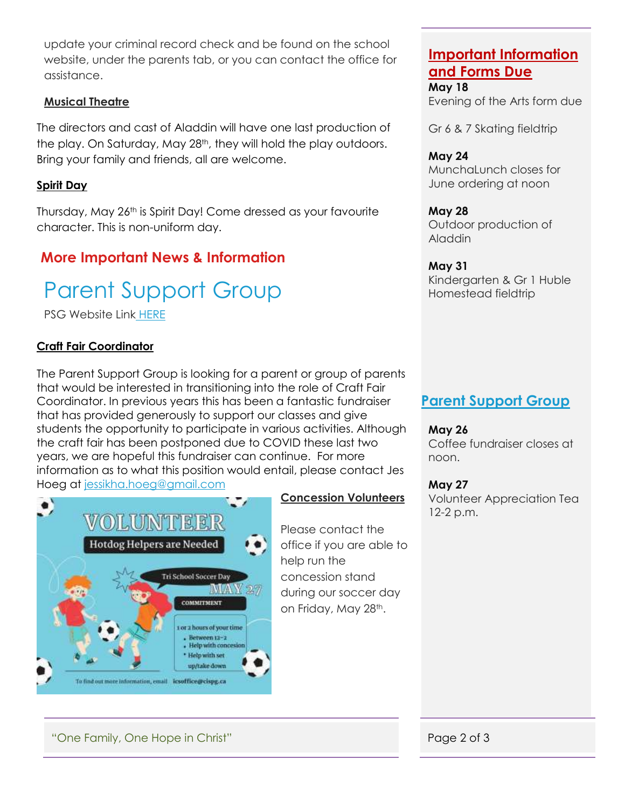update your criminal record check and be found on the school website, under the parents tab, or you can contact the office for assistance.

### **Musical Theatre**

The directors and cast of Aladdin will have one last production of the play. On Saturday, May 28<sup>th</sup>, they will hold the play outdoors. Bring your family and friends, all are welcome.

### **Spirit Day**

Thursday, May 26<sup>th</sup> is Spirit Day! Come dressed as your favourite character. This is non-uniform day.

### **More Important News & Information**

# Parent Support Group

PSG Website Link [HERE](https://www.icschool.ca/general-information/parent-support-group)

### **Craft Fair Coordinator**

The Parent Support Group is looking for a parent or group of parents that would be interested in transitioning into the role of Craft Fair Coordinator. In previous years this has been a fantastic fundraiser that has provided generously to support our classes and give students the opportunity to participate in various activities. Although the craft fair has been postponed due to COVID these last two years, we are hopeful this fundraiser can continue. For more information as to what this position would entail, please contact Jes Hoeg at [jessikha.hoeg@gmail.com](mailto:jessikha.hoeg@gmail.com)



### **Concession Volunteers**

Please contact the office if you are able to help run the concession stand during our soccer day on Friday, May 28<sup>th</sup>.

# **Important Information and Forms Due**

**May 18** Evening of the Arts form due

Gr 6 & 7 Skating fieldtrip

### **May 24**

MunchaLunch closes for June ordering at noon

### **May 28**

Outdoor production of Aladdin

### **May 31**

Kindergarten & Gr 1 Huble Homestead fieldtrip

# **[Parent Support Group](https://www.icschool.ca/general-information/parent-support-group)**

### **May 26**

Coffee fundraiser closes at noon.

### **May 27**

Volunteer Appreciation Tea 12-2 p.m.

"One Family, One Hope in Christ" And All Allen Controller and Page 2 of 3